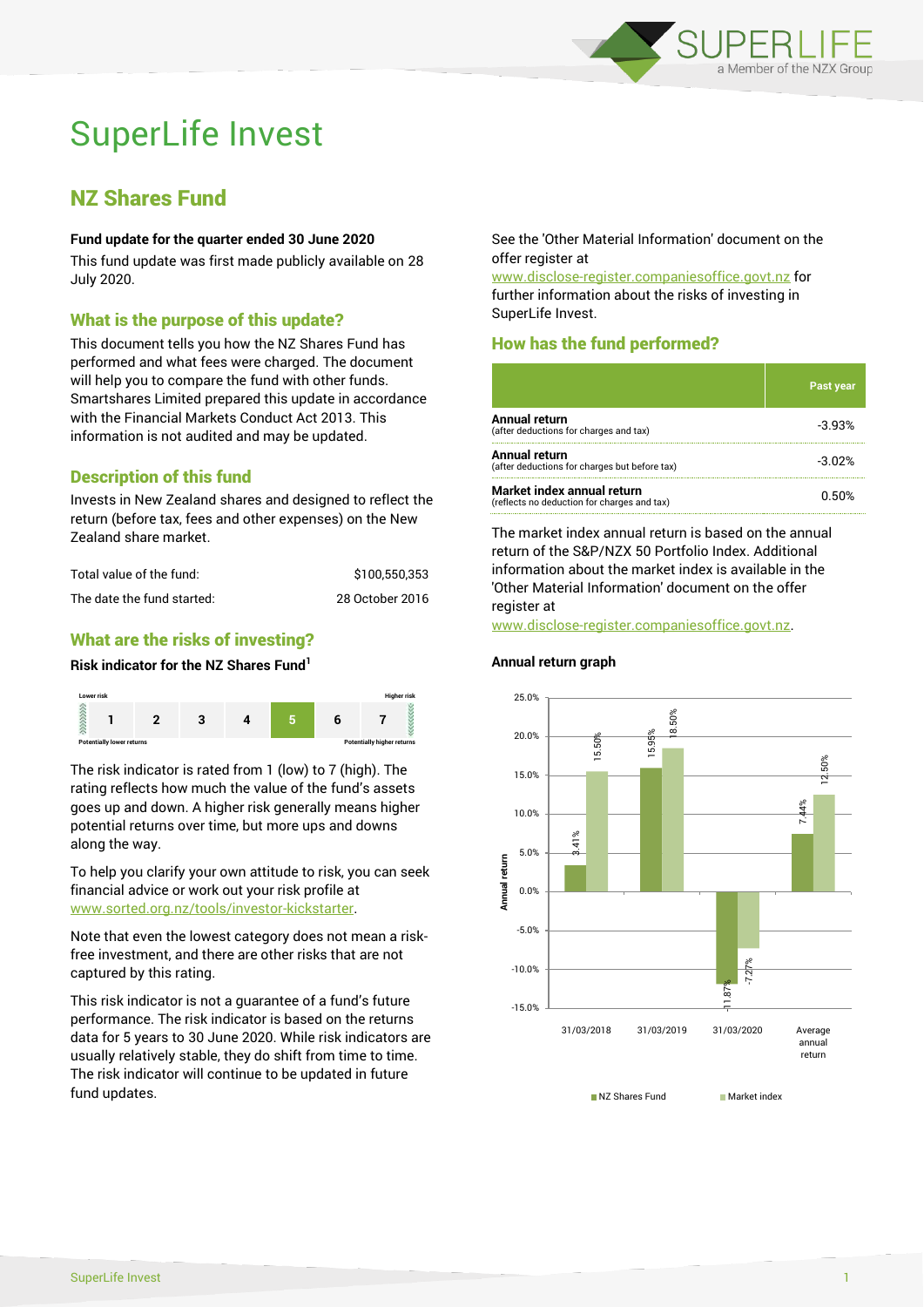

# SuperLife Invest

## NZ Shares Fund

### **Fund update for the quarter ended 30 June 2020**

This fund update was first made publicly available on 28 July 2020.

## What is the purpose of this update?

This document tells you how the NZ Shares Fund has performed and what fees were charged. The document will help you to compare the fund with other funds. Smartshares Limited prepared this update in accordance with the Financial Markets Conduct Act 2013. This information is not audited and may be updated.

## Description of this fund

Invests in New Zealand shares and designed to reflect the return (before tax, fees and other expenses) on the New Zealand share market.

| Total value of the fund:   | \$100.550.353   |
|----------------------------|-----------------|
| The date the fund started: | 28 October 2016 |

## What are the risks of investing?

#### **Risk indicator for the NZ Shares Fund<sup>1</sup>**



The risk indicator is rated from 1 (low) to 7 (high). The rating reflects how much the value of the fund's assets goes up and down. A higher risk generally means higher potential returns over time, but more ups and downs along the way.

To help you clarify your own attitude to risk, you can seek financial advice or work out your risk profile at [www.sorted.org.nz/tools/investor-kickstarter.](http://www.sorted.org.nz/tools/investor-kickstarter)

Note that even the lowest category does not mean a riskfree investment, and there are other risks that are not captured by this rating.

This risk indicator is not a guarantee of a fund's future performance. The risk indicator is based on the returns data for 5 years to 30 June 2020. While risk indicators are usually relatively stable, they do shift from time to time. The risk indicator will continue to be updated in future fund updates.

See the 'Other Material Information' document on the offer register at

www.disclose-register.companiesoffice.govt.nz for further information about the risks of investing in SuperLife Invest.

## How has the fund performed?

|                                                                           | <b>Past year</b> |
|---------------------------------------------------------------------------|------------------|
| <b>Annual return</b><br>(after deductions for charges and tax)            | $-3.93%$         |
| Annual return<br>(after deductions for charges but before tax)            | $-3.02%$         |
| Market index annual return<br>(reflects no deduction for charges and tax) | 0.50%            |

The market index annual return is based on the annual return of the S&P/NZX 50 Portfolio Index. Additional information about the market index is available in the 'Other Material Information' document on the offer register at

www.disclose-register.companiesoffice.govt.nz.

#### **Annual return graph**



NZ Shares Fund Market index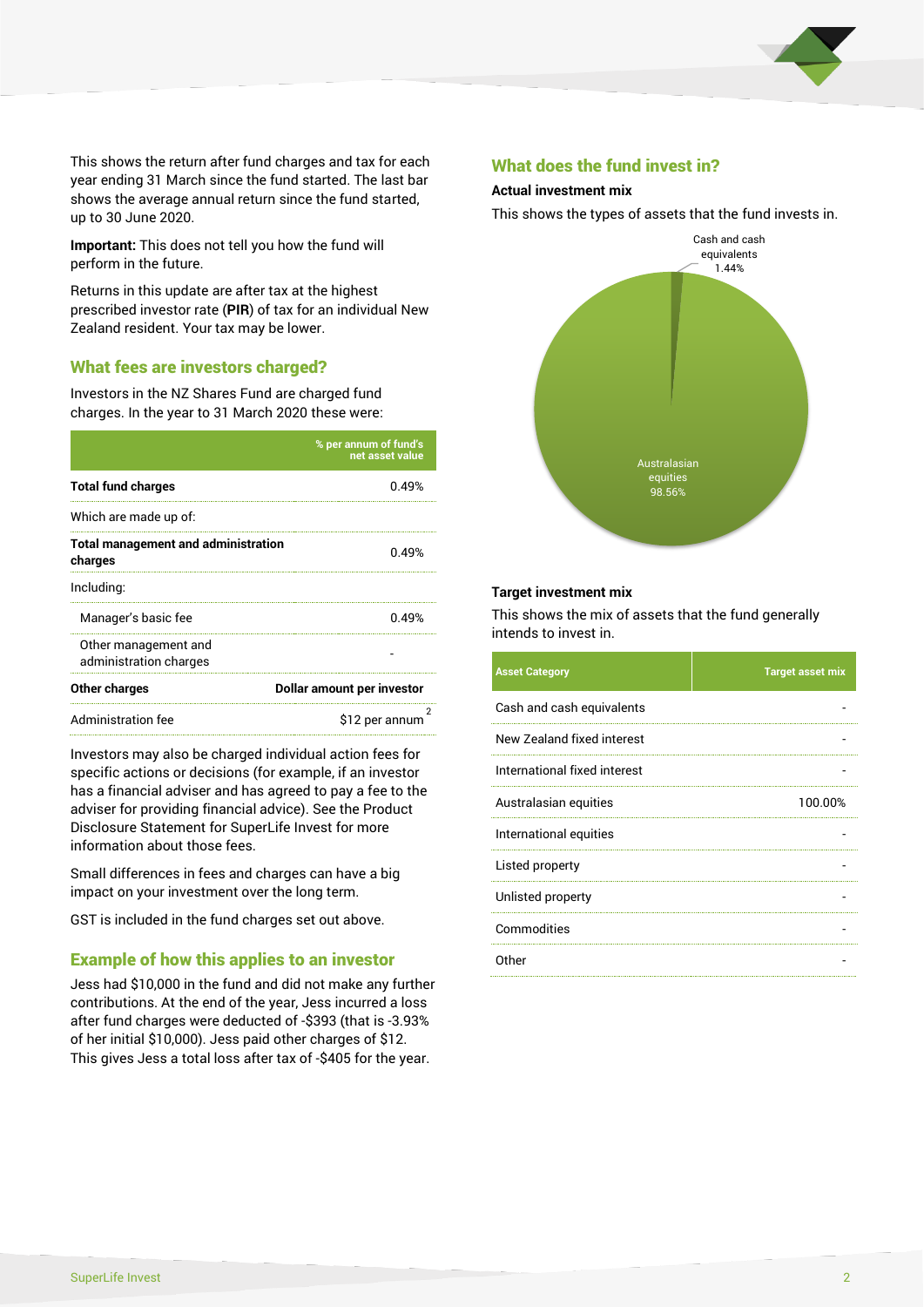

This shows the return after fund charges and tax for each year ending 31 March since the fund started. The last bar shows the average annual return since the fund started, up to 30 June 2020.

**Important:** This does not tell you how the fund will perform in the future.

Returns in this update are after tax at the highest prescribed investor rate (**PIR**) of tax for an individual New Zealand resident. Your tax may be lower.

## What fees are investors charged?

Investors in the NZ Shares Fund are charged fund charges. In the year to 31 March 2020 these were:

|                                                       | % per annum of fund's<br>net asset value |  |
|-------------------------------------------------------|------------------------------------------|--|
| <b>Total fund charges</b>                             | በ 49%                                    |  |
| Which are made up of:                                 |                                          |  |
| <b>Total management and administration</b><br>charges | 0.49%                                    |  |
| Including:                                            |                                          |  |
| Manager's basic fee                                   | 0.49%                                    |  |
| Other management and<br>administration charges        |                                          |  |
| Other charges                                         | Dollar amount per investor               |  |
| Administration fee                                    | \$12 per annum                           |  |

Investors may also be charged individual action fees for specific actions or decisions (for example, if an investor has a financial adviser and has agreed to pay a fee to the adviser for providing financial advice). See the Product Disclosure Statement for SuperLife Invest for more information about those fees.

Small differences in fees and charges can have a big impact on your investment over the long term.

GST is included in the fund charges set out above.

## Example of how this applies to an investor

Jess had \$10,000 in the fund and did not make any further contributions. At the end of the year, Jess incurred a loss after fund charges were deducted of -\$393 (that is -3.93% of her initial \$10,000). Jess paid other charges of \$12. This gives Jess a total loss after tax of -\$405 for the year.

#### What does the fund invest in?

#### **Actual investment mix**

This shows the types of assets that the fund invests in.



#### **Target investment mix**

This shows the mix of assets that the fund generally intends to invest in.

| <b>Asset Category</b>        | <b>Target asset mix</b> |
|------------------------------|-------------------------|
| Cash and cash equivalents    |                         |
| New Zealand fixed interest   |                         |
| International fixed interest |                         |
| Australasian equities        | 100.00%                 |
| International equities       |                         |
| Listed property              |                         |
| Unlisted property            |                         |
| Commodities                  |                         |
| Other                        |                         |